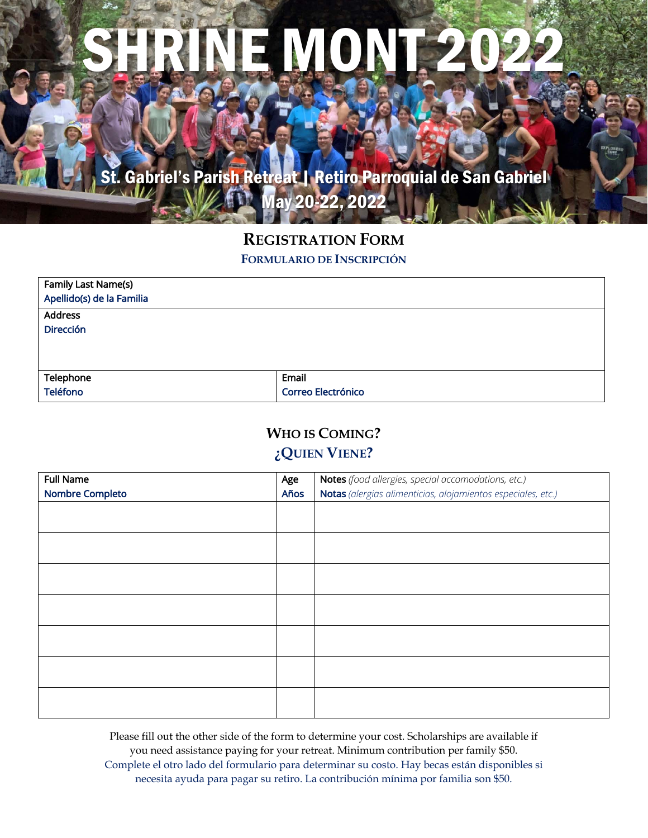# RINE MONT 20

St. Gabriel's Parish Retreat | Retiro Parroquial de San Gabriel May 20-22, 2022

## **REGISTRATION FORM**

**FORMULARIO DE INSCRIPCIÓN**

| Family Last Name(s)<br>Apellido(s) de la Familia |                    |
|--------------------------------------------------|--------------------|
| <b>Address</b>                                   |                    |
| <b>Dirección</b>                                 |                    |
|                                                  |                    |
|                                                  |                    |
| Telephone                                        | Email              |
| <b>Teléfono</b>                                  | Correo Electrónico |

### **WHO IS COMING? ¿QUIEN VIENE?**

| <b>Full Name</b>       | Age  | Notes (food allergies, special accomodations, etc.)          |  |  |
|------------------------|------|--------------------------------------------------------------|--|--|
| <b>Nombre Completo</b> | Años | Notas (alergias alimenticias, alojamientos especiales, etc.) |  |  |
|                        |      |                                                              |  |  |
|                        |      |                                                              |  |  |
|                        |      |                                                              |  |  |
|                        |      |                                                              |  |  |
|                        |      |                                                              |  |  |
|                        |      |                                                              |  |  |
|                        |      |                                                              |  |  |
|                        |      |                                                              |  |  |
|                        |      |                                                              |  |  |
|                        |      |                                                              |  |  |
|                        |      |                                                              |  |  |
|                        |      |                                                              |  |  |
|                        |      |                                                              |  |  |
|                        |      |                                                              |  |  |

Please fill out the other side of the form to determine your cost. Scholarships are available if you need assistance paying for your retreat. Minimum contribution per family \$50. Complete el otro lado del formulario para determinar su costo. Hay becas están disponibles si necesita ayuda para pagar su retiro. La contribución mínima por familia son \$50.